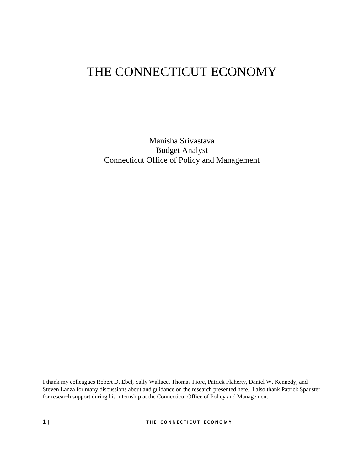# THE CONNECTICUT ECONOMY

Manisha Srivastava Budget Analyst Connecticut Office of Policy and Management

I thank my colleagues Robert D. Ebel, Sally Wallace, Thomas Fiore, Patrick Flaherty, Daniel W. Kennedy, and Steven Lanza for many discussions about and guidance on the research presented here. I also thank Patrick Spauster for research support during his internship at the Connecticut Office of Policy and Management.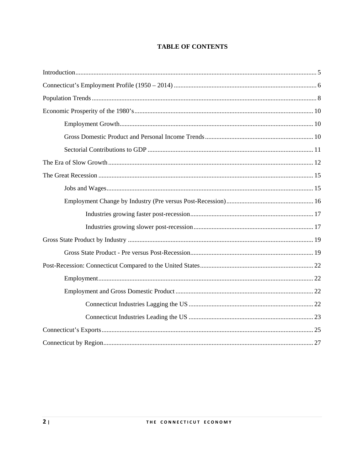## **TABLE OF CONTENTS**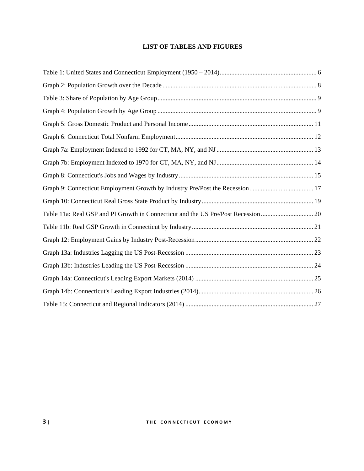## **LIST OF TABLES AND FIGURES**

| Table 11a: Real GSP and PI Growth in Connecticut and the US Pre/Post Recession20 |
|----------------------------------------------------------------------------------|
|                                                                                  |
|                                                                                  |
|                                                                                  |
|                                                                                  |
|                                                                                  |
|                                                                                  |
|                                                                                  |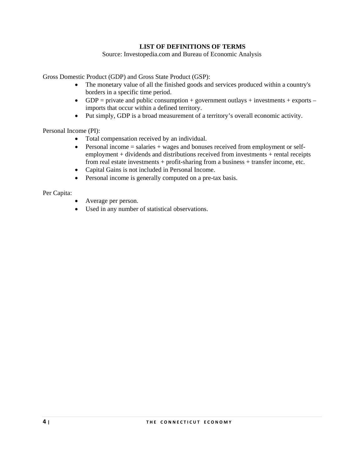## **LIST OF DEFINITIONS OF TERMS**

Source: Investopedia.com and Bureau of Economic Analysis

Gross Domestic Product (GDP) and Gross State Product (GSP):

- The monetary value of all the finished goods and services produced within a country's borders in a specific time period.
- GDP = private and public consumption + government outlays + investments + exports imports that occur within a defined territory.
- Put simply, GDP is a broad measurement of a territory's overall economic activity.

Personal Income (PI):

- Total compensation received by an individual.
- Personal income = salaries + wages and bonuses received from employment or selfemployment + dividends and distributions received from investments + rental receipts from real estate investments + profit-sharing from a business + transfer income, etc.
- Capital Gains is not included in Personal Income.
- Personal income is generally computed on a pre-tax basis.

Per Capita:

- Average per person.
- Used in any number of statistical observations.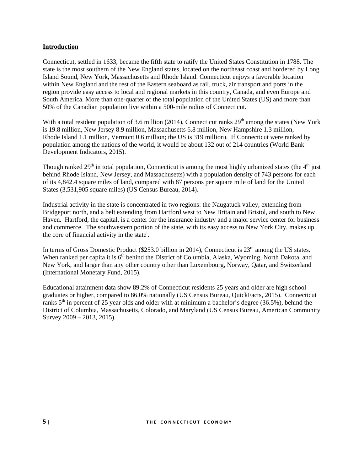#### **Introduction**

Connecticut, settled in 1633, became the fifth state to ratify the United States Constitution in 1788. The state is the most southern of the New England states, located on the northeast coast and bordered by Long Island Sound, New York, Massachusetts and Rhode Island. Connecticut enjoys a favorable location within New England and the rest of the Eastern seaboard as rail, truck, air transport and ports in the region provide easy access to local and regional markets in this country, Canada, and even Europe and South America. More than one-quarter of the total population of the United States (US) and more than 50% of the Canadian population live within a 500-mile radius of Connecticut.

With a total resident population of 3.6 million (2014), Connecticut ranks  $29<sup>th</sup>$  among the states (New York is 19.8 million, New Jersey 8.9 million, Massachusetts 6.8 million, New Hampshire 1.3 million, Rhode Island 1.1 million, Vermont 0.6 million; the US is 319 million). If Connecticut were ranked by population among the nations of the world, it would be about 132 out of 214 countries (World Bank Development Indicators, 2015).

Though ranked  $29<sup>th</sup>$  in total population, Connecticut is among the most highly urbanized states (the  $4<sup>th</sup>$  just behind Rhode Island, New Jersey, and Massachusetts) with a population density of 743 persons for each of its 4,842.4 square miles of land, compared with 87 persons per square mile of land for the United States (3,531,905 square miles) (US Census Bureau, 2014).

Industrial activity in the state is concentrated in two regions: the Naugatuck valley, extending from Bridgeport north, and a belt extending from Hartford west to New Britain and Bristol, and south to New Haven. Hartford, the capital, is a center for the insurance industry and a major service center for business and commerce. The southwestern portion of the state, with its easy access to New York City, makes up the core of financial activity in the state<sup>i</sup>.

In terms of Gross Domestic Product (\$253.0 billion in 2014), Connecticut is 23<sup>rd</sup> among the US states. When ranked per capita it is 6<sup>th</sup> behind the District of Columbia, Alaska, Wyoming, North Dakota, and New York, and larger than any other country other than Luxembourg, Norway, Qatar, and Switzerland (International Monetary Fund, 2015).

Educational attainment data show 89.2% of Connecticut residents 25 years and older are high school graduates or higher, compared to 86.0% nationally (US Census Bureau, QuickFacts, 2015). Connecticut ranks  $5<sup>th</sup>$  in percent of 25 year olds and older with at minimum a bachelor's degree (36.5%), behind the District of Columbia, Massachusetts, Colorado, and Maryland (US Census Bureau, American Community Survey 2009 – 2013, 2015).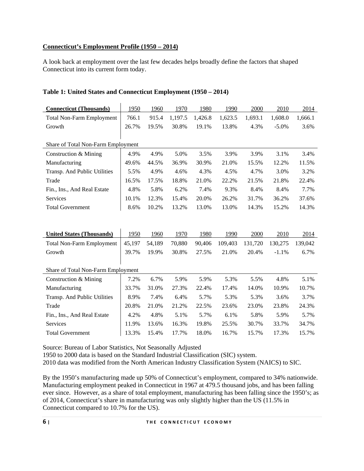## **Connecticut's Employment Profile (1950 – 2014)**

A look back at employment over the last few decades helps broadly define the factors that shaped Connecticut into its current form today.

## **Table 1: United States and Connecticut Employment (1950 – 2014)**

| <b>Connecticut (Thousands)</b>     | 1950   | 1960   | 1970    | 1980    | 1990    | 2000    | 2010    | 2014    |  |  |
|------------------------------------|--------|--------|---------|---------|---------|---------|---------|---------|--|--|
| <b>Total Non-Farm Employment</b>   | 766.1  | 915.4  | 1,197.5 | 1,426.8 | 1,623.5 | 1,693.1 | 1,608.0 | 1,666.1 |  |  |
| Growth                             | 26.7%  | 19.5%  | 30.8%   | 19.1%   | 13.8%   | 4.3%    | $-5.0%$ | 3.6%    |  |  |
|                                    |        |        |         |         |         |         |         |         |  |  |
| Share of Total Non-Farm Employment |        |        |         |         |         |         |         |         |  |  |
| Construction & Mining              | 4.9%   | 4.9%   | 5.0%    | 3.5%    | 3.9%    | 3.9%    | 3.1%    | 3.4%    |  |  |
| Manufacturing                      | 49.6%  | 44.5%  | 36.9%   | 30.9%   | 21.0%   | 15.5%   | 12.2%   | 11.5%   |  |  |
| Transp. And Public Utilities       | 5.5%   | 4.9%   | 4.6%    | 4.3%    | 4.5%    | 4.7%    | 3.0%    | 3.2%    |  |  |
| Trade                              | 16.5%  | 17.5%  | 18.8%   | 21.0%   | 22.2%   | 21.5%   | 21.8%   | 22.4%   |  |  |
| Fin., Ins., And Real Estate        | 4.8%   | 5.8%   | 6.2%    | 7.4%    | 9.3%    | 8.4%    | 8.4%    | 7.7%    |  |  |
| Services                           | 10.1%  | 12.3%  | 15.4%   | 20.0%   | 26.2%   | 31.7%   | 36.2%   | 37.6%   |  |  |
| <b>Total Government</b>            | 8.6%   | 10.2%  | 13.2%   | 13.0%   | 13.0%   | 14.3%   | 15.2%   | 14.3%   |  |  |
|                                    |        |        |         |         |         |         |         |         |  |  |
|                                    |        |        |         |         |         |         |         |         |  |  |
| <b>United States (Thousands)</b>   | 1950   | 1960   | 1970    | 1980    | 1990    | 2000    | 2010    | 2014    |  |  |
| <b>Total Non-Farm Employment</b>   | 45,197 | 54,189 | 70,880  | 90,406  | 109,403 | 131,720 | 130,275 | 139,042 |  |  |
| Growth                             | 39.7%  | 19.9%  | 30.8%   | 27.5%   | 21.0%   | 20.4%   | $-1.1%$ | 6.7%    |  |  |
|                                    |        |        |         |         |         |         |         |         |  |  |
| Share of Total Non-Farm Employment |        |        |         |         |         |         |         |         |  |  |
| Construction & Mining              | 7.2%   | 6.7%   | 5.9%    | 5.9%    | 5.3%    | 5.5%    | 4.8%    | 5.1%    |  |  |
| Manufacturing                      | 33.7%  | 31.0%  | 27.3%   | 22.4%   | 17.4%   | 14.0%   | 10.9%   | 10.7%   |  |  |
| Transp. And Public Utilities       | 8.9%   | 7.4%   | 6.4%    | 5.7%    | 5.3%    | 5.3%    | 3.6%    | 3.7%    |  |  |
| Trade                              | 20.8%  | 21.0%  | 21.2%   | 22.5%   | 23.6%   | 23.0%   | 23.8%   | 24.3%   |  |  |
| Fin., Ins., And Real Estate        | 4.2%   | 4.8%   | 5.1%    | 5.7%    | 6.1%    | 5.8%    | 5.9%    | 5.7%    |  |  |
| Services                           | 11.9%  | 13.6%  | 16.3%   | 19.8%   | 25.5%   | 30.7%   | 33.7%   | 34.7%   |  |  |
| <b>Total Government</b>            | 13.3%  | 15.4%  | 17.7%   | 18.0%   | 16.7%   | 15.7%   | 17.3%   | 15.7%   |  |  |

Source: Bureau of Labor Statistics, Not Seasonally Adjusted

1950 to 2000 data is based on the Standard Industrial Classification (SIC) system.

2010 data was modified from the North American Industry Classification System (NAICS) to SIC.

By the 1950's manufacturing made up 50% of Connecticut's employment, compared to 34% nationwide. Manufacturing employment peaked in Connecticut in 1967 at 479.5 thousand jobs, and has been falling ever since. However, as a share of total employment, manufacturing has been falling since the 1950's; as of 2014, Connecticut's share in manufacturing was only slightly higher than the US (11.5% in Connecticut compared to 10.7% for the US).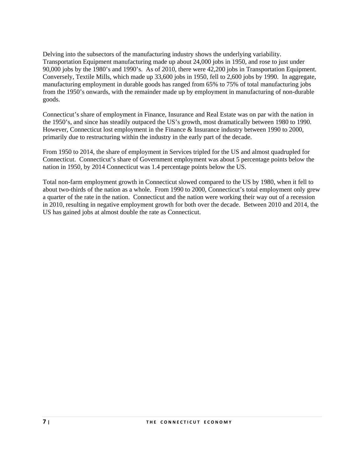Delving into the subsectors of the manufacturing industry shows the underlying variability. Transportation Equipment manufacturing made up about 24,000 jobs in 1950, and rose to just under 90,000 jobs by the 1980's and 1990's. As of 2010, there were 42,200 jobs in Transportation Equipment. Conversely, Textile Mills, which made up 33,600 jobs in 1950, fell to 2,600 jobs by 1990. In aggregate, manufacturing employment in durable goods has ranged from 65% to 75% of total manufacturing jobs from the 1950's onwards, with the remainder made up by employment in manufacturing of non-durable goods.

Connecticut's share of employment in Finance, Insurance and Real Estate was on par with the nation in the 1950's, and since has steadily outpaced the US's growth, most dramatically between 1980 to 1990. However, Connecticut lost employment in the Finance & Insurance industry between 1990 to 2000, primarily due to restructuring within the industry in the early part of the decade.

From 1950 to 2014, the share of employment in Services tripled for the US and almost quadrupled for Connecticut. Connecticut's share of Government employment was about 5 percentage points below the nation in 1950, by 2014 Connecticut was 1.4 percentage points below the US.

Total non-farm employment growth in Connecticut slowed compared to the US by 1980, when it fell to about two-thirds of the nation as a whole. From 1990 to 2000, Connecticut's total employment only grew a quarter of the rate in the nation. Connecticut and the nation were working their way out of a recession in 2010, resulting in negative employment growth for both over the decade. Between 2010 and 2014, the US has gained jobs at almost double the rate as Connecticut.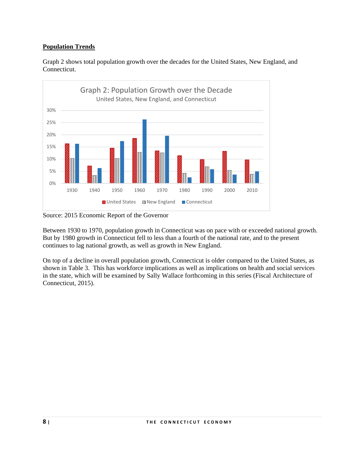## **Population Trends**



Graph 2 shows total population growth over the decades for the United States, New England, and Connecticut.

Source: 2015 Economic Report of the Governor

Between 1930 to 1970, population growth in Connecticut was on pace with or exceeded national growth. But by 1980 growth in Connecticut fell to less than a fourth of the national rate, and to the present continues to lag national growth, as well as growth in New England.

On top of a decline in overall population growth, Connecticut is older compared to the United States, as shown in Table 3. This has workforce implications as well as implications on health and social services in the state, which will be examined by Sally Wallace forthcoming in this series (Fiscal Architecture of Connecticut, 2015).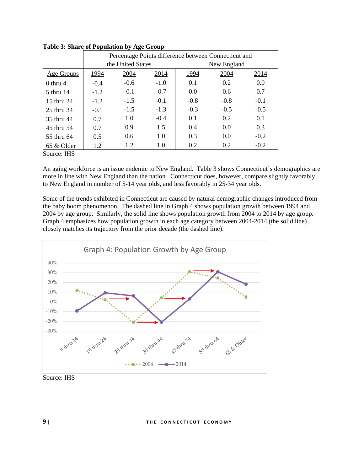|                           | Percentage Points difference between Connecticut and |                   |        |        |             |        |  |
|---------------------------|------------------------------------------------------|-------------------|--------|--------|-------------|--------|--|
|                           |                                                      | the United States |        |        | New England |        |  |
| Age Groups                | 1994                                                 | 2004              | 2014   | 1994   | 2004        | 2014   |  |
| $0$ thru 4                | $-0.4$                                               | $-0.6$            | $-1.0$ | 0.1    | 0.2         | 0.0    |  |
| 5 thru 14                 | $-1.2$                                               | $-0.1$            | $-0.7$ | 0.0    | 0.6         | 0.7    |  |
| 15 thru 24                | $-1.2$                                               | $-1.5$            | $-0.1$ | $-0.8$ | $-0.8$      | $-0.1$ |  |
| 25 thru 34                | $-0.1$                                               | $-1.5$            | $-1.3$ | $-0.3$ | $-0.5$      | $-0.5$ |  |
| 35 thru 44                | 0.7                                                  | 1.0               | $-0.4$ | 0.1    | 0.2         | 0.1    |  |
| 45 thru 54                | 0.7                                                  | 0.9               | 1.5    | 0.4    | 0.0         | 0.3    |  |
| 55 thru 64                | 0.5                                                  | 0.6               | 1.0    | 0.3    | 0.0         | $-0.2$ |  |
| 65 & Older                | 1.2                                                  | 1.2               | 1.0    | 0.2    | 0.2         | $-0.2$ |  |
| $C_{\text{average}}$ IIIC |                                                      |                   |        |        |             |        |  |

**Table 3: Share of Population by Age Group** 

Source: IHS

An aging workforce is an issue endemic to New England. Table 3 shows Connecticut's demographics are more in line with New England than the nation. Connecticut does, however, compare slightly favorably to New England in number of 5-14 year olds, and less favorably in 25-34 year olds.

Some of the trends exhibited in Connecticut are caused by natural demographic changes introduced from the baby boom phenomenon. The dashed line in Graph 4 shows population growth between 1994 and 2004 by age group. Similarly, the solid line shows population growth from 2004 to 2014 by age group. Graph 4 emphasizes how population growth in each age category between 2004-2014 (the solid line) closely matches its trajectory from the prior decade (the dashed line).



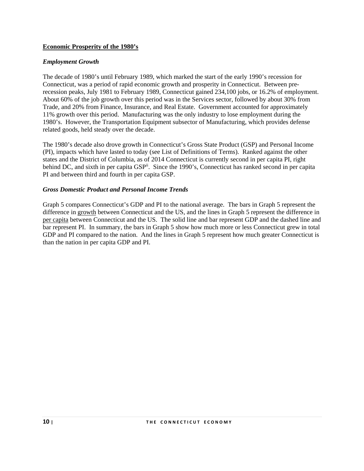#### **Economic Prosperity of the 1980's**

#### *Employment Growth*

The decade of 1980's until February 1989, which marked the start of the early 1990's recession for Connecticut, was a period of rapid economic growth and prosperity in Connecticut. Between prerecession peaks, July 1981 to February 1989, Connecticut gained 234,100 jobs, or 16.2% of employment. About 60% of the job growth over this period was in the Services sector, followed by about 30% from Trade, and 20% from Finance, Insurance, and Real Estate. Government accounted for approximately 11% growth over this period. Manufacturing was the only industry to lose employment during the 1980's. However, the Transportation Equipment subsector of Manufacturing, which provides defense related goods, held steady over the decade.

The 1980's decade also drove growth in Connecticut's Gross State Product (GSP) and Personal Income (PI), impacts which have lasted to today (see List of Definitions of Terms). Ranked against the other states and the District of Columbia, as of 2014 Connecticut is currently second in per capita PI, right behind DC, and sixth in per capita GSP<sup>ii</sup>. Since the 1990's, Connecticut has ranked second in per capita PI and between third and fourth in per capita GSP.

#### *Gross Domestic Product and Personal Income Trends*

Graph 5 compares Connecticut's GDP and PI to the national average. The bars in Graph 5 represent the difference in growth between Connecticut and the US, and the lines in Graph 5 represent the difference in per capita between Connecticut and the US. The solid line and bar represent GDP and the dashed line and bar represent PI. In summary, the bars in Graph 5 show how much more or less Connecticut grew in total GDP and PI compared to the nation. And the lines in Graph 5 represent how much greater Connecticut is than the nation in per capita GDP and PI.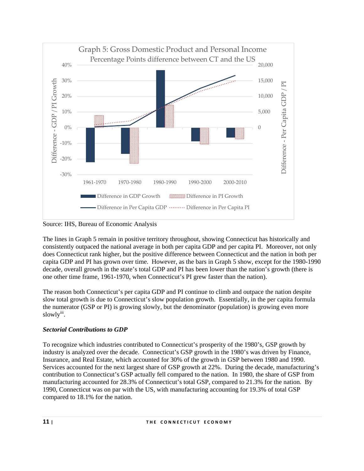

Source: IHS, Bureau of Economic Analysis

The lines in Graph 5 remain in positive territory throughout, showing Connecticut has historically and consistently outpaced the national average in both per capita GDP and per capita PI. Moreover, not only does Connecticut rank higher, but the positive difference between Connecticut and the nation in both per capita GDP and PI has grown over time. However, as the bars in Graph 5 show, except for the 1980-1990 decade, overall growth in the state's total GDP and PI has been lower than the nation's growth (there is one other time frame, 1961-1970, when Connecticut's PI grew faster than the nation).

The reason both Connecticut's per capita GDP and PI continue to climb and outpace the nation despite slow total growth is due to Connecticut's slow population growth. Essentially, in the per capita formula the numerator (GSP or PI) is growing slowly, but the denominator (population) is growing even more slowly<sup>iii</sup>.

# *Sectorial Contributions to GDP*

To recognize which industries contributed to Connecticut's prosperity of the 1980's, GSP growth by industry is analyzed over the decade. Connecticut's GSP growth in the 1980's was driven by Finance, Insurance, and Real Estate, which accounted for 30% of the growth in GSP between 1980 and 1990. Services accounted for the next largest share of GSP growth at 22%. During the decade, manufacturing's contribution to Connecticut's GSP actually fell compared to the nation. In 1980, the share of GSP from manufacturing accounted for 28.3% of Connecticut's total GSP, compared to 21.3% for the nation. By 1990, Connecticut was on par with the US, with manufacturing accounting for 19.3% of total GSP compared to 18.1% for the nation.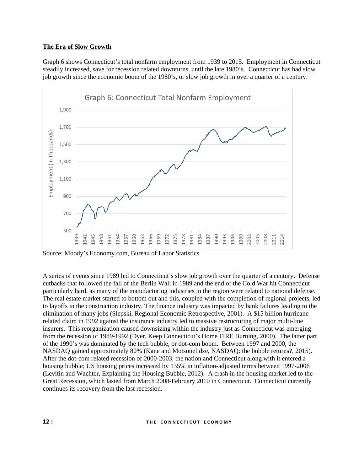## **The Era of Slow Growth**

Graph 6 shows Connecticut's total nonfarm employment from 1939 to 2015. Employment in Connecticut steadily increased, save for recession related downturns, until the late 1980's. Connecticut has had slow job growth since the economic boom of the 1980's, or slow job growth in over a quarter of a century.



Source: Moody's Economy.com, Bureau of Labor Statistics

A series of events since 1989 led to Connecticut's slow job growth over the quarter of a century. Defense cutbacks that followed the fall of the Berlin Wall in 1989 and the end of the Cold War hit Connecticut particularly hard, as many of the manufacturing industries in the region were related to national defense. The real estate market started to bottom out and this, coupled with the completion of regional projects, led to layoffs in the construction industry. The finance industry was impacted by bank failures leading to the elimination of many jobs (Slepski, Regional Economic Retrospective, 2001). A \$15 billion hurricane related claim in 1992 against the insurance industry led to massive restructuring of major multi-line insurers. This reorganization caused downsizing within the industry just as Connecticut was emerging from the recession of 1989-1992 (Dyer, Keep Connecticut's Home FIRE Burning, 2000). The latter part of the 1990's was dominated by the tech bubble, or dot-com boom. Between 1997 and 2000, the NASDAQ gained approximately 80% (Kane and Motsonelidze, NASDAQ: the bubble returns?, 2015). After the dot-com related recession of 2000-2003, the nation and Connecticut along with it entered a housing bubble; US housing prices increased by 135% in inflation-adjusted terms between 1997-2006 (Levitin and Wachter, Explaining the Housing Bubble, 2012). A crash in the housing market led to the Great Recession, which lasted from March 2008-February 2010 in Connecticut. Connecticut currently continues its recovery from the last recession.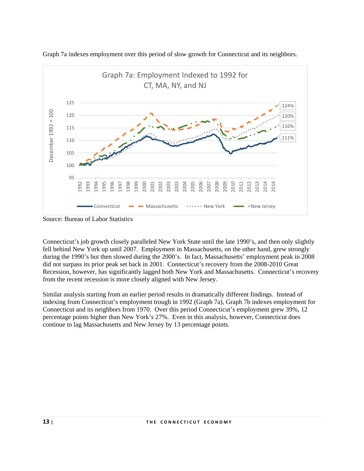

Graph 7a indexes employment over this period of slow growth for Connecticut and its neighbors.

Source: Bureau of Labor Statistics

Connecticut's job growth closely paralleled New York State until the late 1990's, and then only slightly fell behind New York up until 2007. Employment in Massachusetts, on the other hand, grew strongly during the 1990's but then slowed during the 2000's. In fact, Massachusetts' employment peak in 2008 did not surpass its prior peak set back in 2001. Connecticut's recovery from the 2008-2010 Great Recession, however, has significantly lagged both New York and Massachusetts. Connecticut's recovery from the recent recession is more closely aligned with New Jersey.

Similar analysis starting from an earlier period results in dramatically different findings. Instead of indexing from Connecticut's employment trough in 1992 (Graph 7a), Graph 7b indexes employment for Connecticut and its neighbors from 1970. Over this period Connecticut's employment grew 39%, 12 percentage points higher than New York's 27%. Even in this analysis, however, Connecticut does continue to lag Massachusetts and New Jersey by 13 percentage points.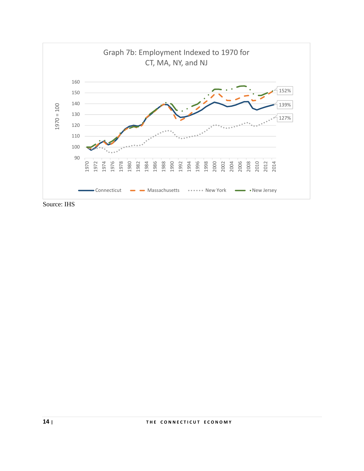

Source: IHS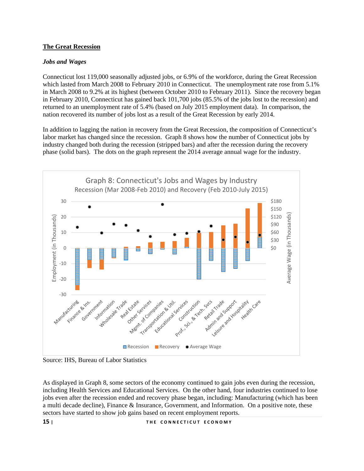## **The Great Recession**

### *Jobs and Wages*

Connecticut lost 119,000 seasonally adjusted jobs, or 6.9% of the workforce, during the Great Recession which lasted from March 2008 to February 2010 in Connecticut. The unemployment rate rose from 5.1% in March 2008 to 9.2% at its highest (between October 2010 to February 2011). Since the recovery began in February 2010, Connecticut has gained back 101,700 jobs (85.5% of the jobs lost to the recession) and returned to an unemployment rate of 5.4% (based on July 2015 employment data). In comparison, the nation recovered its number of jobs lost as a result of the Great Recession by early 2014.

In addition to lagging the nation in recovery from the Great Recession, the composition of Connecticut's labor market has changed since the recession. Graph 8 shows how the number of Connecticut jobs by industry changed both during the recession (stripped bars) and after the recession during the recovery phase (solid bars). The dots on the graph represent the 2014 average annual wage for the industry.



Source: IHS, Bureau of Labor Statistics

As displayed in Graph 8, some sectors of the economy continued to gain jobs even during the recession, including Health Services and Educational Services. On the other hand, four industries continued to lose jobs even after the recession ended and recovery phase began, including: Manufacturing (which has been a multi decade decline), Finance & Insurance, Government, and Information. On a positive note, these sectors have started to show job gains based on recent employment reports.

15 | THE CONNECTICUT ECONOMY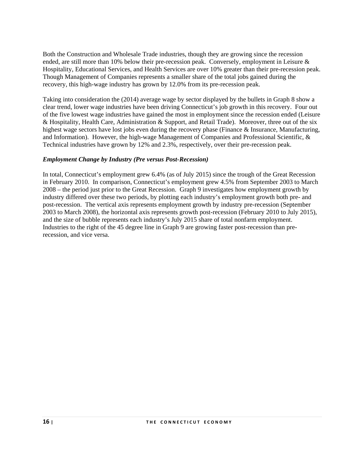Both the Construction and Wholesale Trade industries, though they are growing since the recession ended, are still more than 10% below their pre-recession peak. Conversely, employment in Leisure & Hospitality, Educational Services, and Health Services are over 10% greater than their pre-recession peak. Though Management of Companies represents a smaller share of the total jobs gained during the recovery, this high-wage industry has grown by 12.0% from its pre-recession peak.

Taking into consideration the (2014) average wage by sector displayed by the bullets in Graph 8 show a clear trend, lower wage industries have been driving Connecticut's job growth in this recovery. Four out of the five lowest wage industries have gained the most in employment since the recession ended (Leisure & Hospitality, Health Care, Administration & Support, and Retail Trade). Moreover, three out of the six highest wage sectors have lost jobs even during the recovery phase (Finance & Insurance, Manufacturing, and Information). However, the high-wage Management of Companies and Professional Scientific, & Technical industries have grown by 12% and 2.3%, respectively, over their pre-recession peak.

#### *Employment Change by Industry (Pre versus Post-Recession)*

In total, Connecticut's employment grew 6.4% (as of July 2015) since the trough of the Great Recession in February 2010. In comparison, Connecticut's employment grew 4.5% from September 2003 to March 2008 – the period just prior to the Great Recession. Graph 9 investigates how employment growth by industry differed over these two periods, by plotting each industry's employment growth both pre- and post-recession. The vertical axis represents employment growth by industry pre-recession (September 2003 to March 2008), the horizontal axis represents growth post-recession (February 2010 to July 2015), and the size of bubble represents each industry's July 2015 share of total nonfarm employment. Industries to the right of the 45 degree line in Graph 9 are growing faster post-recession than prerecession, and vice versa.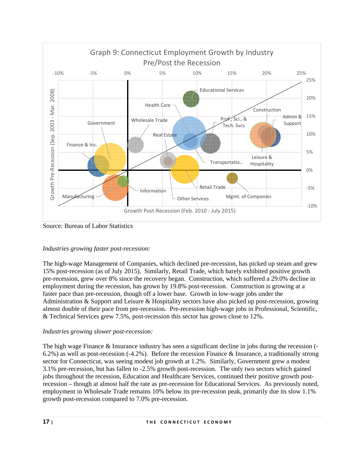

Source: Bureau of Labor Statistics

# *Industries growing faster post-recession:*

The high-wage Management of Companies, which declined pre-recession, has picked up steam and grew 15% post-recession (as of July 2015). Similarly, Retail Trade, which barely exhibited positive growth pre-recession, grew over 8% since the recovery began. Construction, which suffered a 29.0% decline in employment during the recession, has grown by 19.8% post-recession. Construction is growing at a faster pace than pre-recession, though off a lower base. Growth in low-wage jobs under the Administration & Support and Leisure & Hospitality sectors have also picked up post-recession, growing almost double of their pace from pre-recession. Pre-recession high-wage jobs in Professional, Scientific, & Technical Services grew 7.5%, post-recession this sector has grown close to 12%.

# *Industries growing slower post-recession:*

The high wage Finance & Insurance industry has seen a significant decline in jobs during the recession (-6.2%) as well as post-recession (-4.2%). Before the recession Finance & Insurance, a traditionally strong sector for Connecticut, was seeing modest job growth at 1.2%. Similarly, Government grew a modest 3.1% pre-recession, but has fallen to -2.5% growth post-recession. The only two sectors which gained jobs throughout the recession, Education and Healthcare Services, continued their positive growth postrecession – though at almost half the rate as pre-recession for Educational Services. As previously noted, employment in Wholesale Trade remains 10% below its pre-recession peak, primarily due its slow 1.1% growth post-recession compared to 7.0% pre-recession.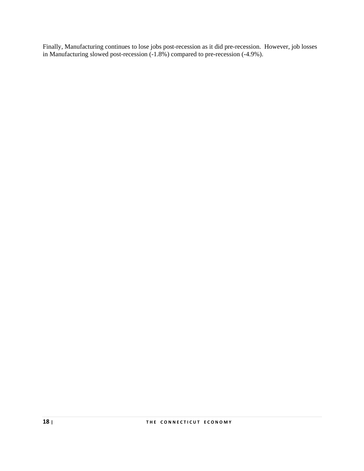Finally, Manufacturing continues to lose jobs post-recession as it did pre-recession. However, job losses in Manufacturing slowed post-recession (-1.8%) compared to pre-recession (-4.9%).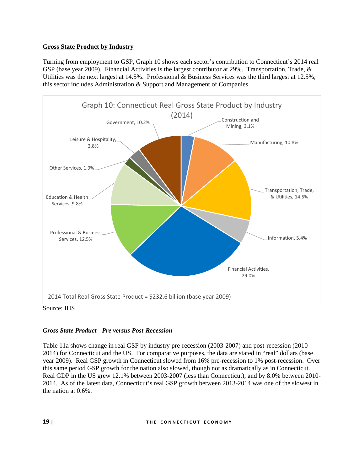## **Gross State Product by Industry**

Turning from employment to GSP, Graph 10 shows each sector's contribution to Connecticut's 2014 real GSP (base year 2009). Financial Activities is the largest contributor at 29%. Transportation, Trade, & Utilities was the next largest at 14.5%. Professional & Business Services was the third largest at 12.5%; this sector includes Administration & Support and Management of Companies.



# *Gross State Product - Pre versus Post-Recession*

Table 11a shows change in real GSP by industry pre-recession (2003-2007) and post-recession (2010- 2014) for Connecticut and the US. For comparative purposes, the data are stated in "real" dollars (base year 2009). Real GSP growth in Connecticut slowed from 16% pre-recession to 1% post-recession. Over this same period GSP growth for the nation also slowed, though not as dramatically as in Connecticut. Real GDP in the US grew 12.1% between 2003-2007 (less than Connecticut), and by 8.0% between 2010- 2014. As of the latest data, Connecticut's real GSP growth between 2013-2014 was one of the slowest in the nation at 0.6%.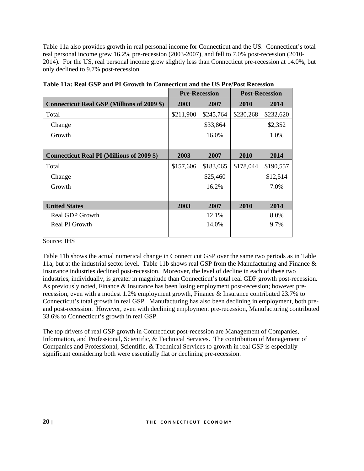Table 11a also provides growth in real personal income for Connecticut and the US. Connecticut's total real personal income grew 16.2% pre-recession (2003-2007), and fell to 7.0% post-recession (2010- 2014). For the US, real personal income grew slightly less than Connecticut pre-recession at 14.0%, but only declined to 9.7% post-recession.

|                                                   |           | <b>Pre-Recession</b> | <b>Post-Recession</b> |           |  |
|---------------------------------------------------|-----------|----------------------|-----------------------|-----------|--|
| <b>Connecticut Real GSP (Millions of 2009 \$)</b> | 2003      | 2007                 | 2010                  | 2014      |  |
| Total                                             | \$211,900 | \$245,764            | \$230,268             | \$232,620 |  |
| Change                                            |           | \$33,864             |                       | \$2,352   |  |
| Growth                                            |           | 16.0%                |                       | 1.0%      |  |
|                                                   |           |                      |                       |           |  |
| <b>Connecticut Real PI (Millions of 2009 \$)</b>  | 2003      | 2007                 | 2010                  | 2014      |  |
| Total                                             | \$157,606 | \$183,065            | \$178,044             | \$190,557 |  |
| Change                                            |           | \$25,460             |                       | \$12,514  |  |
| Growth                                            |           | 16.2%                |                       | 7.0%      |  |
|                                                   |           |                      |                       |           |  |
| <b>United States</b>                              | 2003      | 2007                 | 2010                  | 2014      |  |
| Real GDP Growth                                   |           | 12.1%                |                       | 8.0%      |  |
| Real PI Growth                                    |           | 14.0%                |                       | 9.7%      |  |
|                                                   |           |                      |                       |           |  |

|  | Table 11a: Real GSP and PI Growth in Connecticut and the US Pre/Post Recession |
|--|--------------------------------------------------------------------------------|
|  |                                                                                |

#### Source: IHS

Table 11b shows the actual numerical change in Connecticut GSP over the same two periods as in Table 11a, but at the industrial sector level. Table 11b shows real GSP from the Manufacturing and Finance & Insurance industries declined post-recession. Moreover, the level of decline in each of these two industries, individually, is greater in magnitude than Connecticut's total real GDP growth post-recession. As previously noted, Finance & Insurance has been losing employment post-recession; however prerecession, even with a modest 1.2% employment growth, Finance & Insurance contributed 23.7% to Connecticut's total growth in real GSP. Manufacturing has also been declining in employment, both preand post-recession. However, even with declining employment pre-recession, Manufacturing contributed 33.6% to Connecticut's growth in real GSP.

The top drivers of real GSP growth in Connecticut post-recession are Management of Companies, Information, and Professional, Scientific, & Technical Services. The contribution of Management of Companies and Professional, Scientific, & Technical Services to growth in real GSP is especially significant considering both were essentially flat or declining pre-recession.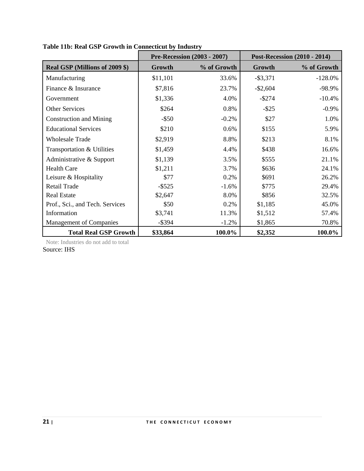|                                 |           | <b>Pre-Recession (2003 - 2007)</b> |             | <b>Post-Recession (2010 - 2014)</b> |
|---------------------------------|-----------|------------------------------------|-------------|-------------------------------------|
| Real GSP (Millions of 2009 \$)  | Growth    | % of Growth                        | Growth      | % of Growth                         |
| Manufacturing                   | \$11,101  | 33.6%                              | $-$ \$3,371 | $-128.0%$                           |
| Finance & Insurance             | \$7,816   | 23.7%                              | $-$ \$2,604 | -98.9%                              |
| Government                      | \$1,336   | 4.0%                               | $-$ \$274   | $-10.4%$                            |
| <b>Other Services</b>           | \$264     | 0.8%                               | $-$ \$25    | $-0.9\%$                            |
| <b>Construction and Mining</b>  | $-$ \$50  | $-0.2\%$                           | \$27        | 1.0%                                |
| <b>Educational Services</b>     | \$210     | 0.6%                               | \$155       | 5.9%                                |
| <b>Wholesale Trade</b>          | \$2,919   | 8.8%                               | \$213       | 8.1%                                |
| Transportation & Utilities      | \$1,459   | 4.4%                               | \$438       | 16.6%                               |
| Administrative & Support        | \$1,139   | 3.5%                               | \$555       | 21.1%                               |
| <b>Health Care</b>              | \$1,211   | 3.7%                               | \$636       | 24.1%                               |
| Leisure & Hospitality           | \$77      | 0.2%                               | \$691       | 26.2%                               |
| Retail Trade                    | $-$ \$525 | $-1.6%$                            | \$775       | 29.4%                               |
| <b>Real Estate</b>              | \$2,647   | 8.0%                               | \$856       | 32.5%                               |
| Prof., Sci., and Tech. Services | \$50      | 0.2%                               | \$1,185     | 45.0%                               |
| Information                     | \$3,741   | 11.3%                              | \$1,512     | 57.4%                               |
| <b>Management of Companies</b>  | $-$ \$394 | $-1.2%$                            | \$1,865     | 70.8%                               |
| <b>Total Real GSP Growth</b>    | \$33,864  | 100.0%                             | \$2,352     | 100.0%                              |

**Table 11b: Real GSP Growth in Connecticut by Industry** 

Note: Industries do not add to total Source: IHS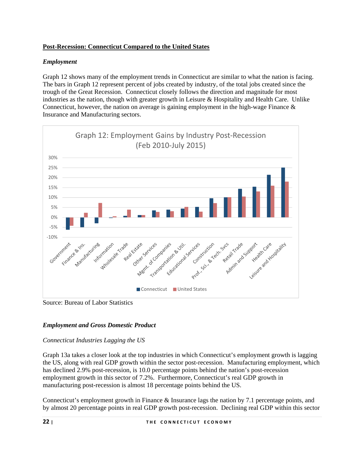## **Post-Recession: Connecticut Compared to the United States**

## *Employment*

Graph 12 shows many of the employment trends in Connecticut are similar to what the nation is facing. The bars in Graph 12 represent percent of jobs created by industry, of the total jobs created since the trough of the Great Recession. Connecticut closely follows the direction and magnitude for most industries as the nation, though with greater growth in Leisure & Hospitality and Health Care. Unlike Connecticut, however, the nation on average is gaining employment in the high-wage Finance  $\&$ Insurance and Manufacturing sectors.



Source: Bureau of Labor Statistics

# *Employment and Gross Domestic Product*

# *Connecticut Industries Lagging the US*

Graph 13a takes a closer look at the top industries in which Connecticut's employment growth is lagging the US, along with real GDP growth within the sector post-recession. Manufacturing employment, which has declined 2.9% post-recession, is 10.0 percentage points behind the nation's post-recession employment growth in this sector of 7.2%. Furthermore, Connecticut's real GDP growth in manufacturing post-recession is almost 18 percentage points behind the US.

Connecticut's employment growth in Finance & Insurance lags the nation by 7.1 percentage points, and by almost 20 percentage points in real GDP growth post-recession. Declining real GDP within this sector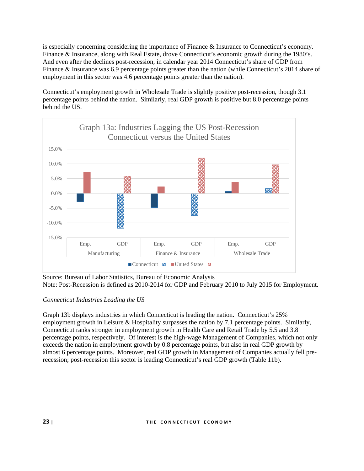is especially concerning considering the importance of Finance & Insurance to Connecticut's economy. Finance & Insurance, along with Real Estate, drove Connecticut's economic growth during the 1980's. And even after the declines post-recession, in calendar year 2014 Connecticut's share of GDP from Finance & Insurance was 6.9 percentage points greater than the nation (while Connecticut's 2014 share of employment in this sector was 4.6 percentage points greater than the nation).

Connecticut's employment growth in Wholesale Trade is slightly positive post-recession, though 3.1 percentage points behind the nation. Similarly, real GDP growth is positive but 8.0 percentage points behind the US.



Source: Bureau of Labor Statistics, Bureau of Economic Analysis Note: Post-Recession is defined as 2010-2014 for GDP and February 2010 to July 2015 for Employment.

# *Connecticut Industries Leading the US*

Graph 13b displays industries in which Connecticut is leading the nation. Connecticut's 25% employment growth in Leisure & Hospitality surpasses the nation by 7.1 percentage points. Similarly, Connecticut ranks stronger in employment growth in Health Care and Retail Trade by 5.5 and 3.8 percentage points, respectively. Of interest is the high-wage Management of Companies, which not only exceeds the nation in employment growth by 0.8 percentage points, but also in real GDP growth by almost 6 percentage points. Moreover, real GDP growth in Management of Companies actually fell prerecession; post-recession this sector is leading Connecticut's real GDP growth (Table 11b).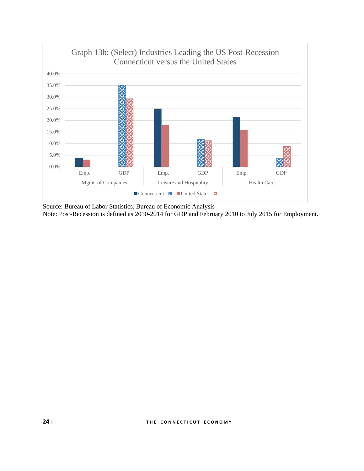

Source: Bureau of Labor Statistics, Bureau of Economic Analysis Note: Post-Recession is defined as 2010-2014 for GDP and February 2010 to July 2015 for Employment.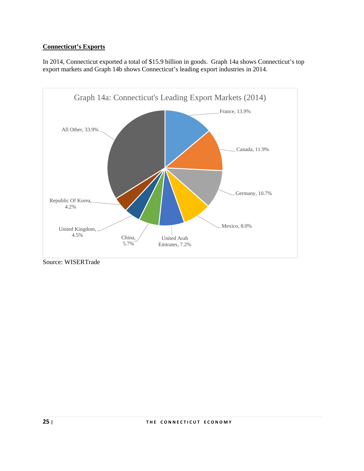# **Connecticut's Exports**

In 2014, Connecticut exported a total of \$15.9 billion in goods. Graph 14a shows Connecticut's top export markets and Graph 14b shows Connecticut's leading export industries in 2014.



Source: WISERTrade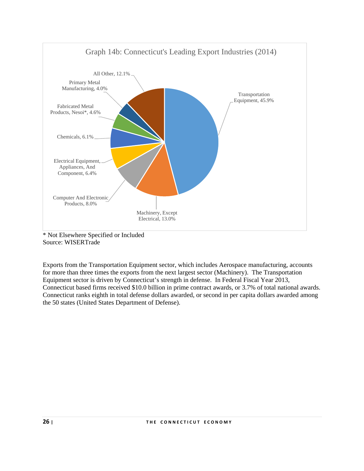

<sup>\*</sup> Not Elsewhere Specified or Included Source: WISERTrade

Exports from the Transportation Equipment sector, which includes Aerospace manufacturing, accounts for more than three times the exports from the next largest sector (Machinery). The Transportation Equipment sector is driven by Connecticut's strength in defense. In Federal Fiscal Year 2013, Connecticut based firms received \$10.0 billion in prime contract awards, or 3.7% of total national awards. Connecticut ranks eighth in total defense dollars awarded, or second in per capita dollars awarded among the 50 states (United States Department of Defense).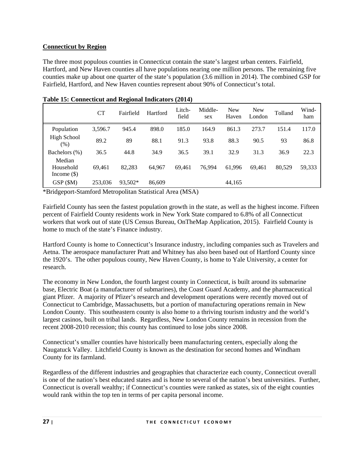## **Connecticut by Region**

The three most populous counties in Connecticut contain the state's largest urban centers. Fairfield, Hartford, and New Haven counties all have populations nearing one million persons. The remaining five counties make up about one quarter of the state's population (3.6 million in 2014). The combined GSP for Fairfield, Hartford, and New Haven counties represent about 90% of Connecticut's total.

|                                      | <b>CT</b> | Fairfield | Hartford | Litch-<br>field | Middle-<br>sex | <b>New</b><br>Haven | <b>New</b><br>London | Tolland | Wind-<br>ham |
|--------------------------------------|-----------|-----------|----------|-----------------|----------------|---------------------|----------------------|---------|--------------|
| Population                           | 3,596.7   | 945.4     | 898.0    | 185.0           | 164.9          | 861.3               | 273.7                | 151.4   | 117.0        |
| High School<br>$(\%)$                | 89.2      | 89        | 88.1     | 91.3            | 93.8           | 88.3                | 90.5                 | 93      | 86.8         |
| Bachelors (%)                        | 36.5      | 44.8      | 34.9     | 36.5            | 39.1           | 32.9                | 31.3                 | 36.9    | 22.3         |
| Median<br>Household<br>Income $(\$)$ | 69,461    | 82.283    | 64,967   | 69,461          | 76,994         | 61.996              | 69.461               | 80.529  | 59,333       |
| GSP (\$M)                            | 253,036   | 93,502*   | 86,609   |                 |                | 44,165              |                      |         |              |

**Table 15: Connecticut and Regional Indicators (2014)** 

\*Bridgeport-Stamford Metropolitan Statistical Area (MSA)

Fairfield County has seen the fastest population growth in the state, as well as the highest income. Fifteen percent of Fairfield County residents work in New York State compared to 6.8% of all Connecticut workers that work out of state (US Census Bureau, OnTheMap Application, 2015). Fairfield County is home to much of the state's Finance industry.

Hartford County is home to Connecticut's Insurance industry, including companies such as Travelers and Aetna. The aerospace manufacturer Pratt and Whitney has also been based out of Hartford County since the 1920's. The other populous county, New Haven County, is home to Yale University, a center for research.

The economy in New London, the fourth largest county in Connecticut, is built around its submarine base, Electric Boat (a manufacturer of submarines), the Coast Guard Academy, and the pharmaceutical giant Pfizer. A majority of Pfizer's research and development operations were recently moved out of Connecticut to Cambridge, Massachusetts, but a portion of manufacturing operations remain in New London County. This southeastern county is also home to a thriving tourism industry and the world's largest casinos, built on tribal lands. Regardless, New London County remains in recession from the recent 2008-2010 recession; this county has continued to lose jobs since 2008.

Connecticut's smaller counties have historically been manufacturing centers, especially along the Naugatuck Valley. Litchfield County is known as the destination for second homes and Windham County for its farmland.

Regardless of the different industries and geographies that characterize each county, Connecticut overall is one of the nation's best educated states and is home to several of the nation's best universities. Further, Connecticut is overall wealthy; if Connecticut's counties were ranked as states, six of the eight counties would rank within the top ten in terms of per capita personal income.